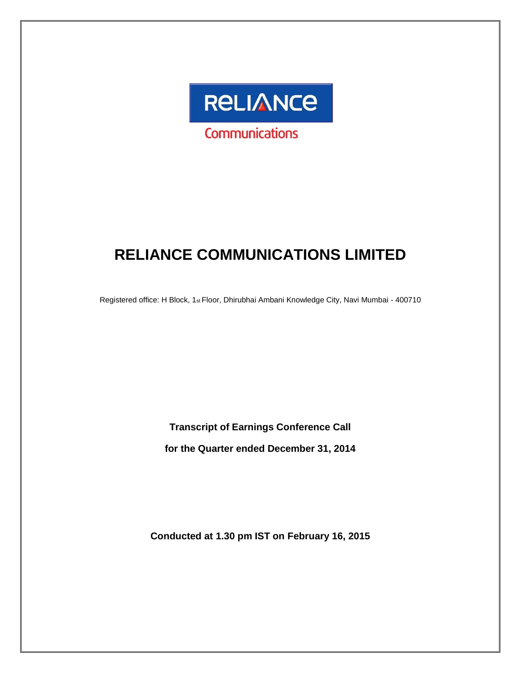

# **RELIANCE COMMUNICATIONS LIMITED**

Registered office: H Block, 1st Floor, Dhirubhai Ambani Knowledge City, Navi Mumbai - 400710

**Transcript of Earnings Conference Call** 

**for the Quarter ended December 31, 2014**

**Conducted at 1.30 pm IST on February 16, 2015**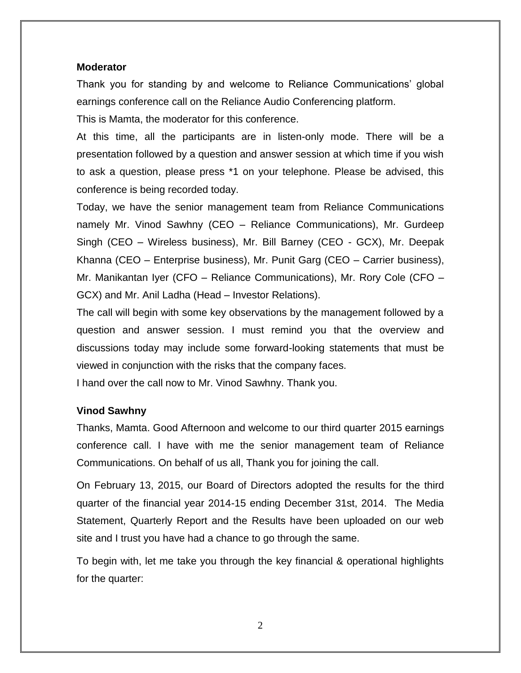#### **Moderator**

Thank you for standing by and welcome to Reliance Communications' global earnings conference call on the Reliance Audio Conferencing platform.

This is Mamta, the moderator for this conference.

At this time, all the participants are in listen-only mode. There will be a presentation followed by a question and answer session at which time if you wish to ask a question, please press \*1 on your telephone. Please be advised, this conference is being recorded today.

Today, we have the senior management team from Reliance Communications namely Mr. Vinod Sawhny (CEO – Reliance Communications), Mr. Gurdeep Singh (CEO – Wireless business), Mr. Bill Barney (CEO - GCX), Mr. Deepak Khanna (CEO – Enterprise business), Mr. Punit Garg (CEO – Carrier business), Mr. Manikantan Iyer (CFO – Reliance Communications), Mr. Rory Cole (CFO – GCX) and Mr. Anil Ladha (Head – Investor Relations).

The call will begin with some key observations by the management followed by a question and answer session. I must remind you that the overview and discussions today may include some forward-looking statements that must be viewed in conjunction with the risks that the company faces.

I hand over the call now to Mr. Vinod Sawhny. Thank you.

#### **Vinod Sawhny**

Thanks, Mamta. Good Afternoon and welcome to our third quarter 2015 earnings conference call. I have with me the senior management team of Reliance Communications. On behalf of us all, Thank you for joining the call.

On February 13, 2015, our Board of Directors adopted the results for the third quarter of the financial year 2014-15 ending December 31st, 2014. The Media Statement, Quarterly Report and the Results have been uploaded on our web site and I trust you have had a chance to go through the same.

To begin with, let me take you through the key financial & operational highlights for the quarter: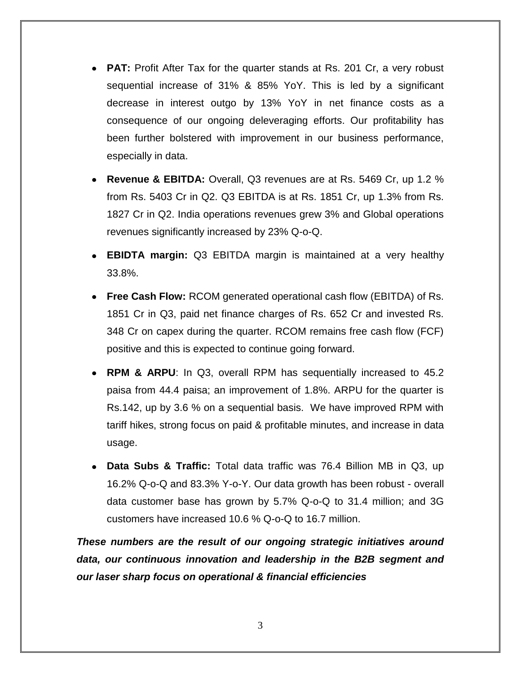- **PAT:** Profit After Tax for the quarter stands at Rs. 201 Cr, a very robust sequential increase of 31% & 85% YoY. This is led by a significant decrease in interest outgo by 13% YoY in net finance costs as a consequence of our ongoing deleveraging efforts. Our profitability has been further bolstered with improvement in our business performance, especially in data.
- **Revenue & EBITDA:** Overall, Q3 revenues are at Rs. 5469 Cr, up 1.2 % from Rs. 5403 Cr in Q2. Q3 EBITDA is at Rs. 1851 Cr, up 1.3% from Rs. 1827 Cr in Q2. India operations revenues grew 3% and Global operations revenues significantly increased by 23% Q-o-Q.
- **EBIDTA margin:** Q3 EBITDA margin is maintained at a very healthy 33.8%.
- **Free Cash Flow:** RCOM generated operational cash flow (EBITDA) of Rs. 1851 Cr in Q3, paid net finance charges of Rs. 652 Cr and invested Rs. 348 Cr on capex during the quarter. RCOM remains free cash flow (FCF) positive and this is expected to continue going forward.
- **RPM & ARPU**: In Q3, overall RPM has sequentially increased to 45.2 paisa from 44.4 paisa; an improvement of 1.8%. ARPU for the quarter is Rs.142, up by 3.6 % on a sequential basis. We have improved RPM with tariff hikes, strong focus on paid & profitable minutes, and increase in data usage.
- **Data Subs & Traffic:** Total data traffic was 76.4 Billion MB in Q3, up 16.2% Q-o-Q and 83.3% Y-o-Y. Our data growth has been robust - overall data customer base has grown by 5.7% Q-o-Q to 31.4 million; and 3G customers have increased 10.6 % Q-o-Q to 16.7 million.

*These numbers are the result of our ongoing strategic initiatives around data, our continuous innovation and leadership in the B2B segment and our laser sharp focus on operational & financial efficiencies*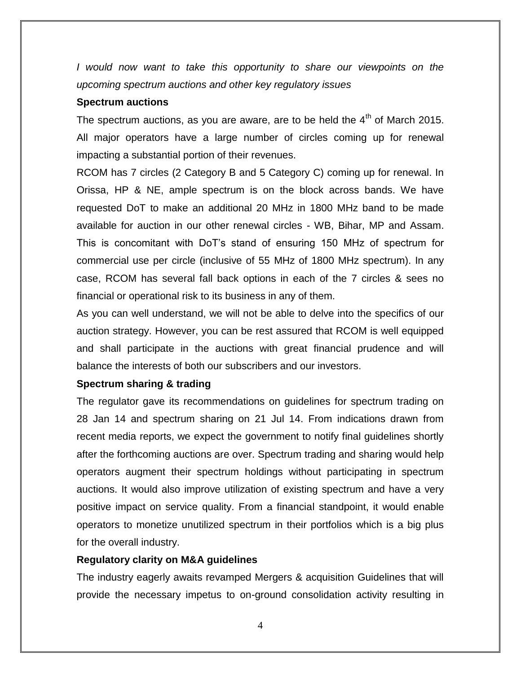*I* would now want to take this opportunity to share our viewpoints on the *upcoming spectrum auctions and other key regulatory issues*

#### **Spectrum auctions**

The spectrum auctions, as you are aware, are to be held the  $4<sup>th</sup>$  of March 2015. All major operators have a large number of circles coming up for renewal impacting a substantial portion of their revenues.

RCOM has 7 circles (2 Category B and 5 Category C) coming up for renewal. In Orissa, HP & NE, ample spectrum is on the block across bands. We have requested DoT to make an additional 20 MHz in 1800 MHz band to be made available for auction in our other renewal circles - WB, Bihar, MP and Assam. This is concomitant with DoT's stand of ensuring 150 MHz of spectrum for commercial use per circle (inclusive of 55 MHz of 1800 MHz spectrum). In any case, RCOM has several fall back options in each of the 7 circles & sees no financial or operational risk to its business in any of them.

As you can well understand, we will not be able to delve into the specifics of our auction strategy. However, you can be rest assured that RCOM is well equipped and shall participate in the auctions with great financial prudence and will balance the interests of both our subscribers and our investors.

#### **Spectrum sharing & trading**

The regulator gave its recommendations on guidelines for spectrum trading on 28 Jan 14 and spectrum sharing on 21 Jul 14. From indications drawn from recent media reports, we expect the government to notify final guidelines shortly after the forthcoming auctions are over. Spectrum trading and sharing would help operators augment their spectrum holdings without participating in spectrum auctions. It would also improve utilization of existing spectrum and have a very positive impact on service quality. From a financial standpoint, it would enable operators to monetize unutilized spectrum in their portfolios which is a big plus for the overall industry.

#### **Regulatory clarity on M&A guidelines**

The industry eagerly awaits revamped Mergers & acquisition Guidelines that will provide the necessary impetus to on-ground consolidation activity resulting in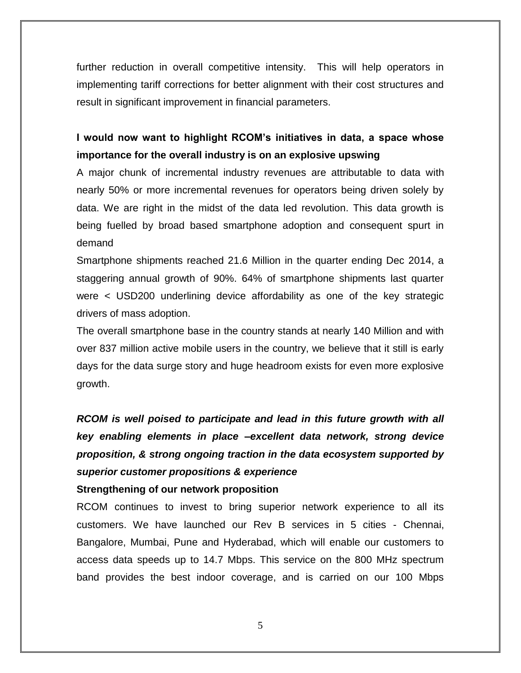further reduction in overall competitive intensity. This will help operators in implementing tariff corrections for better alignment with their cost structures and result in significant improvement in financial parameters.

## **I would now want to highlight RCOM's initiatives in data, a space whose importance for the overall industry is on an explosive upswing**

A major chunk of incremental industry revenues are attributable to data with nearly 50% or more incremental revenues for operators being driven solely by data. We are right in the midst of the data led revolution. This data growth is being fuelled by broad based smartphone adoption and consequent spurt in demand

Smartphone shipments reached 21.6 Million in the quarter ending Dec 2014, a staggering annual growth of 90%. 64% of smartphone shipments last quarter were < USD200 underlining device affordability as one of the key strategic drivers of mass adoption.

The overall smartphone base in the country stands at nearly 140 Million and with over 837 million active mobile users in the country, we believe that it still is early days for the data surge story and huge headroom exists for even more explosive growth.

*RCOM is well poised to participate and lead in this future growth with all key enabling elements in place –excellent data network, strong device proposition, & strong ongoing traction in the data ecosystem supported by superior customer propositions & experience*

### **Strengthening of our network proposition**

RCOM continues to invest to bring superior network experience to all its customers. We have launched our Rev B services in 5 cities - Chennai, Bangalore, Mumbai, Pune and Hyderabad, which will enable our customers to access data speeds up to 14.7 Mbps. This service on the 800 MHz spectrum band provides the best indoor coverage, and is carried on our 100 Mbps

5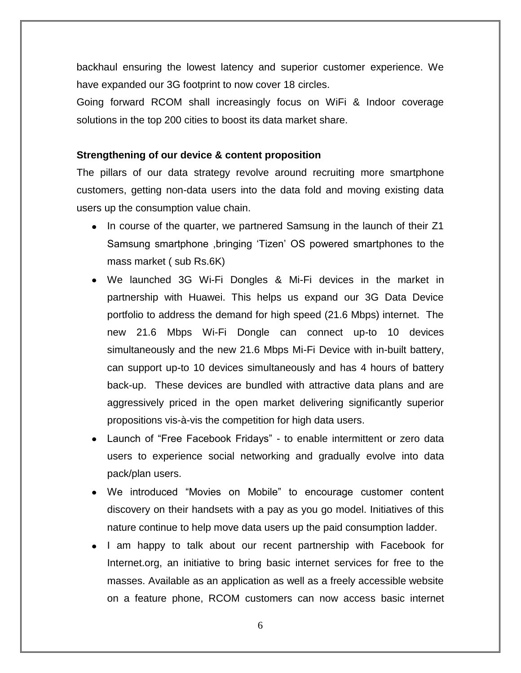backhaul ensuring the lowest latency and superior customer experience. We have expanded our 3G footprint to now cover 18 circles.

Going forward RCOM shall increasingly focus on WiFi & Indoor coverage solutions in the top 200 cities to boost its data market share.

#### **Strengthening of our device & content proposition**

The pillars of our data strategy revolve around recruiting more smartphone customers, getting non-data users into the data fold and moving existing data users up the consumption value chain.

- In course of the quarter, we partnered Samsung in the launch of their Z1 Samsung smartphone , bringing 'Tizen' OS powered smartphones to the mass market ( sub Rs.6K)
- We launched 3G Wi-Fi Dongles & Mi-Fi devices in the market in partnership with Huawei. This helps us expand our 3G Data Device portfolio to address the demand for high speed (21.6 Mbps) internet. The new 21.6 Mbps Wi-Fi Dongle can connect up-to 10 devices simultaneously and the new 21.6 Mbps Mi-Fi Device with in-built battery, can support up-to 10 devices simultaneously and has 4 hours of battery back-up. These devices are bundled with attractive data plans and are aggressively priced in the open market delivering significantly superior propositions vis-à-vis the competition for high data users.
- Launch of "Free Facebook Fridays" to enable intermittent or zero data users to experience social networking and gradually evolve into data pack/plan users.
- We introduced "Movies on Mobile" to encourage customer content discovery on their handsets with a pay as you go model. Initiatives of this nature continue to help move data users up the paid consumption ladder.
- I am happy to talk about our recent partnership with Facebook for Internet.org, an initiative to bring basic internet services for free to the masses. Available as an application as well as a freely accessible website on a feature phone, RCOM customers can now access basic internet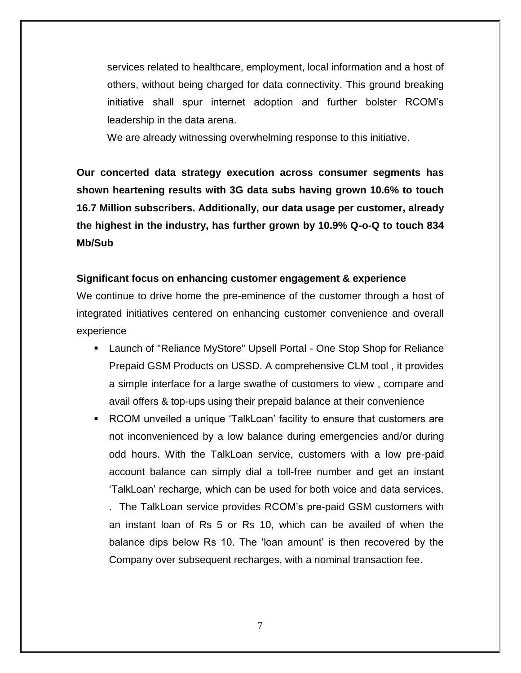services related to healthcare, employment, local information and a host of others, without being charged for data connectivity. This ground breaking initiative shall spur internet adoption and further bolster RCOM's leadership in the data arena.

We are already witnessing overwhelming response to this initiative.

**Our concerted data strategy execution across consumer segments has shown heartening results with 3G data subs having grown 10.6% to touch 16.7 Million subscribers. Additionally, our data usage per customer, already the highest in the industry, has further grown by 10.9% Q-o-Q to touch 834 Mb/Sub**

### **Significant focus on enhancing customer engagement & experience**

We continue to drive home the pre-eminence of the customer through a host of integrated initiatives centered on enhancing customer convenience and overall experience

- Launch of "Reliance MyStore" Upsell Portal One Stop Shop for Reliance Prepaid GSM Products on USSD. A comprehensive CLM tool , it provides a simple interface for a large swathe of customers to view , compare and avail offers & top-ups using their prepaid balance at their convenience
- **•** RCOM unveiled a unique 'TalkLoan' facility to ensure that customers are not inconvenienced by a low balance during emergencies and/or during odd hours. With the TalkLoan service, customers with a low pre-paid account balance can simply dial a toll-free number and get an instant ‗TalkLoan' recharge, which can be used for both voice and data services.

. The TalkLoan service provides RCOM's pre-paid GSM customers with an instant loan of Rs 5 or Rs 10, which can be availed of when the balance dips below Rs 10. The 'loan amount' is then recovered by the Company over subsequent recharges, with a nominal transaction fee.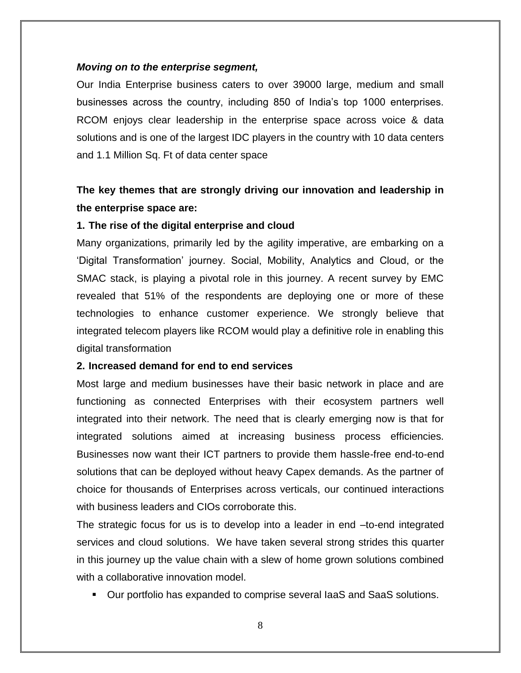#### *Moving on to the enterprise segment,*

Our India Enterprise business caters to over 39000 large, medium and small businesses across the country, including 850 of India's top 1000 enterprises. RCOM enjoys clear leadership in the enterprise space across voice & data solutions and is one of the largest IDC players in the country with 10 data centers and 1.1 Million Sq. Ft of data center space

# **The key themes that are strongly driving our innovation and leadership in the enterprise space are:**

#### **1. The rise of the digital enterprise and cloud**

Many organizations, primarily led by the agility imperative, are embarking on a ‗Digital Transformation' journey. Social, Mobility, Analytics and Cloud, or the SMAC stack, is playing a pivotal role in this journey. A recent survey by EMC revealed that 51% of the respondents are deploying one or more of these technologies to enhance customer experience. We strongly believe that integrated telecom players like RCOM would play a definitive role in enabling this digital transformation

#### **2. Increased demand for end to end services**

Most large and medium businesses have their basic network in place and are functioning as connected Enterprises with their ecosystem partners well integrated into their network. The need that is clearly emerging now is that for integrated solutions aimed at increasing business process efficiencies. Businesses now want their ICT partners to provide them hassle-free end-to-end solutions that can be deployed without heavy Capex demands. As the partner of choice for thousands of Enterprises across verticals, our continued interactions with business leaders and CIOs corroborate this.

The strategic focus for us is to develop into a leader in end –to-end integrated services and cloud solutions. We have taken several strong strides this quarter in this journey up the value chain with a slew of home grown solutions combined with a collaborative innovation model.

Our portfolio has expanded to comprise several IaaS and SaaS solutions.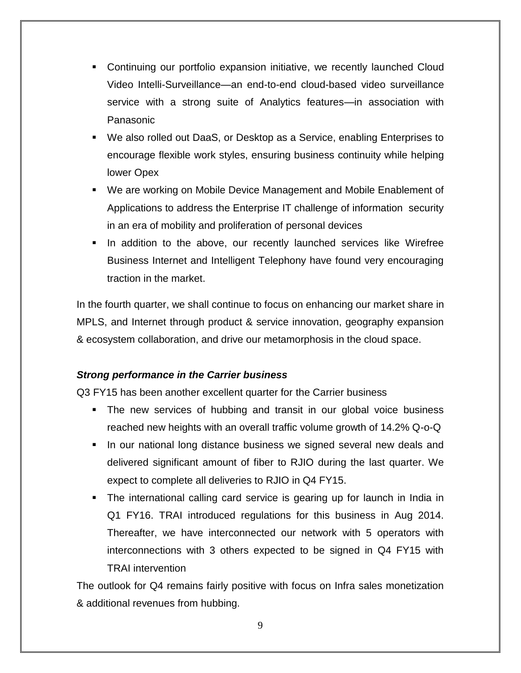- Continuing our portfolio expansion initiative, we recently launched Cloud Video Intelli-Surveillance—an end-to-end cloud-based video surveillance service with a strong suite of Analytics features—in association with Panasonic
- We also rolled out DaaS, or Desktop as a Service, enabling Enterprises to encourage flexible work styles, ensuring business continuity while helping lower Opex
- We are working on Mobile Device Management and Mobile Enablement of Applications to address the Enterprise IT challenge of information security in an era of mobility and proliferation of personal devices
- **In addition to the above, our recently launched services like Wirefree** Business Internet and Intelligent Telephony have found very encouraging traction in the market.

In the fourth quarter, we shall continue to focus on enhancing our market share in MPLS, and Internet through product & service innovation, geography expansion & ecosystem collaboration, and drive our metamorphosis in the cloud space.

### *Strong performance in the Carrier business*

Q3 FY15 has been another excellent quarter for the Carrier business

- **The new services of hubbing and transit in our global voice business** reached new heights with an overall traffic volume growth of 14.2% Q-o-Q
- **If all our national long distance business we signed several new deals and** delivered significant amount of fiber to RJIO during the last quarter. We expect to complete all deliveries to RJIO in Q4 FY15.
- The international calling card service is gearing up for launch in India in Q1 FY16. TRAI introduced regulations for this business in Aug 2014. Thereafter, we have interconnected our network with 5 operators with interconnections with 3 others expected to be signed in Q4 FY15 with TRAI intervention

The outlook for Q4 remains fairly positive with focus on Infra sales monetization & additional revenues from hubbing.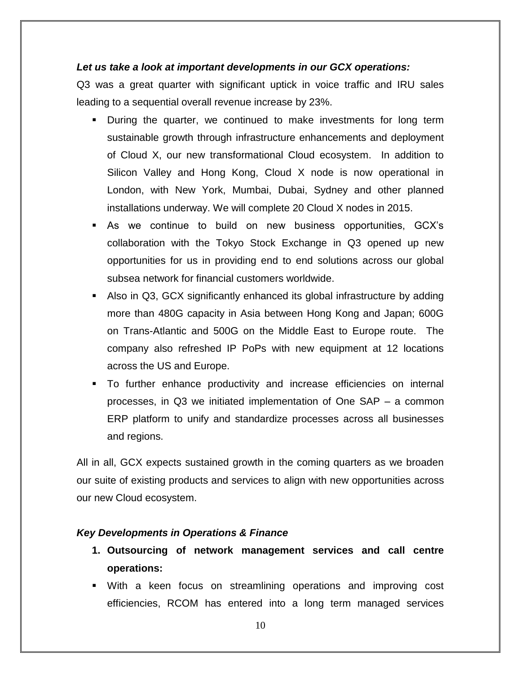#### *Let us take a look at important developments in our GCX operations:*

Q3 was a great quarter with significant uptick in voice traffic and IRU sales leading to a sequential overall revenue increase by 23%.

- During the quarter, we continued to make investments for long term sustainable growth through infrastructure enhancements and deployment of Cloud X, our new transformational Cloud ecosystem. In addition to Silicon Valley and Hong Kong, Cloud X node is now operational in London, with New York, Mumbai, Dubai, Sydney and other planned installations underway. We will complete 20 Cloud X nodes in 2015.
- As we continue to build on new business opportunities, GCX's collaboration with the Tokyo Stock Exchange in Q3 opened up new opportunities for us in providing end to end solutions across our global subsea network for financial customers worldwide.
- Also in Q3, GCX significantly enhanced its global infrastructure by adding more than 480G capacity in Asia between Hong Kong and Japan; 600G on Trans-Atlantic and 500G on the Middle East to Europe route. The company also refreshed IP PoPs with new equipment at 12 locations across the US and Europe.
- To further enhance productivity and increase efficiencies on internal processes, in Q3 we initiated implementation of One SAP – a common ERP platform to unify and standardize processes across all businesses and regions.

All in all, GCX expects sustained growth in the coming quarters as we broaden our suite of existing products and services to align with new opportunities across our new Cloud ecosystem.

#### *Key Developments in Operations & Finance*

- **1. Outsourcing of network management services and call centre operations:**
- With a keen focus on streamlining operations and improving cost efficiencies, RCOM has entered into a long term managed services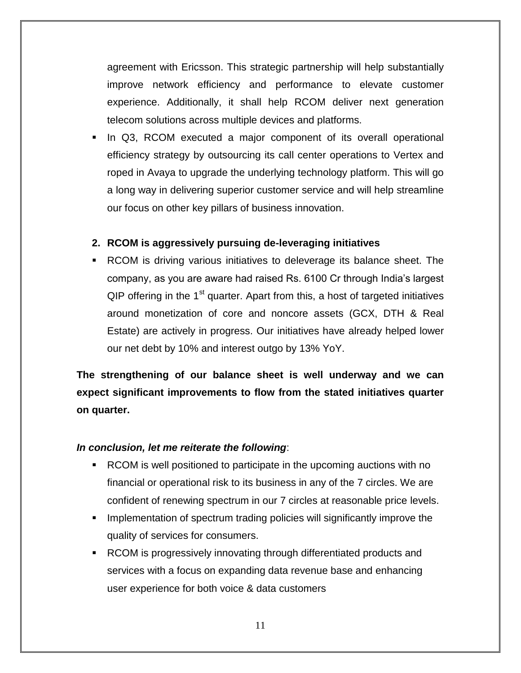agreement with Ericsson. This strategic partnership will help substantially improve network efficiency and performance to elevate customer experience. Additionally, it shall help RCOM deliver next generation telecom solutions across multiple devices and platforms.

• In Q3, RCOM executed a major component of its overall operational efficiency strategy by outsourcing its call center operations to Vertex and roped in Avaya to upgrade the underlying technology platform. This will go a long way in delivering superior customer service and will help streamline our focus on other key pillars of business innovation.

### **2. RCOM is aggressively pursuing de-leveraging initiatives**

 RCOM is driving various initiatives to deleverage its balance sheet. The company, as you are aware had raised Rs. 6100 Cr through India's largest  $QIP$  offering in the 1<sup>st</sup> quarter. Apart from this, a host of targeted initiatives around monetization of core and noncore assets (GCX, DTH & Real Estate) are actively in progress. Our initiatives have already helped lower our net debt by 10% and interest outgo by 13% YoY.

**The strengthening of our balance sheet is well underway and we can expect significant improvements to flow from the stated initiatives quarter on quarter.** 

#### *In conclusion, let me reiterate the following*:

- RCOM is well positioned to participate in the upcoming auctions with no financial or operational risk to its business in any of the 7 circles. We are confident of renewing spectrum in our 7 circles at reasonable price levels.
- **IMPLEMENT IMPLEMENT IN STATE IMPLEM** IMPLEMENT IMPLEMENT IMPLEMENT IMPLEMENT IMPLEMENT IMPLEMENT IMPLEMENT IMPLEMENT IMPLEMENT IMPLEMENT IMPLEMENT IMPLEMENT IMPLEMENT IMPLEMENT IMPLEMENT IMPLEMENT IMPLEMENT IMPLEMENT IMPL quality of services for consumers.
- RCOM is progressively innovating through differentiated products and services with a focus on expanding data revenue base and enhancing user experience for both voice & data customers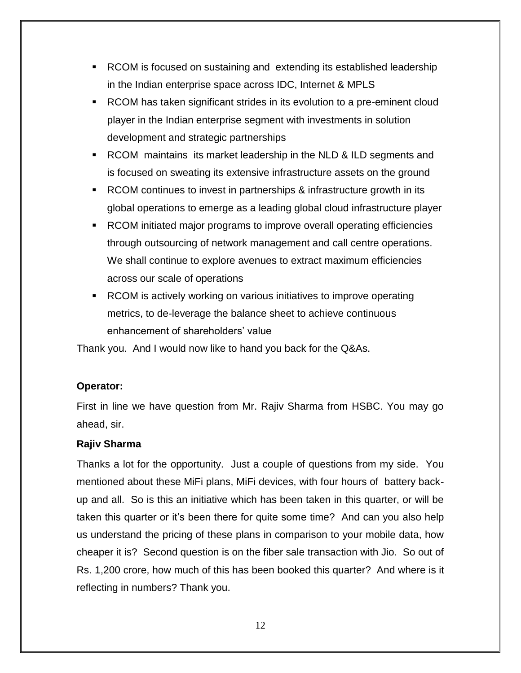- RCOM is focused on sustaining and extending its established leadership in the Indian enterprise space across IDC, Internet & MPLS
- RCOM has taken significant strides in its evolution to a pre-eminent cloud player in the Indian enterprise segment with investments in solution development and strategic partnerships
- RCOM maintains its market leadership in the NLD & ILD segments and is focused on sweating its extensive infrastructure assets on the ground
- RCOM continues to invest in partnerships & infrastructure growth in its global operations to emerge as a leading global cloud infrastructure player
- RCOM initiated major programs to improve overall operating efficiencies through outsourcing of network management and call centre operations. We shall continue to explore avenues to extract maximum efficiencies across our scale of operations
- RCOM is actively working on various initiatives to improve operating metrics, to de-leverage the balance sheet to achieve continuous enhancement of shareholders' value

Thank you. And I would now like to hand you back for the Q&As.

#### **Operator:**

First in line we have question from Mr. Rajiv Sharma from HSBC. You may go ahead, sir.

#### **Rajiv Sharma**

Thanks a lot for the opportunity. Just a couple of questions from my side. You mentioned about these MiFi plans, MiFi devices, with four hours of battery backup and all. So is this an initiative which has been taken in this quarter, or will be taken this quarter or it's been there for quite some time? And can you also help us understand the pricing of these plans in comparison to your mobile data, how cheaper it is? Second question is on the fiber sale transaction with Jio. So out of Rs. 1,200 crore, how much of this has been booked this quarter? And where is it reflecting in numbers? Thank you.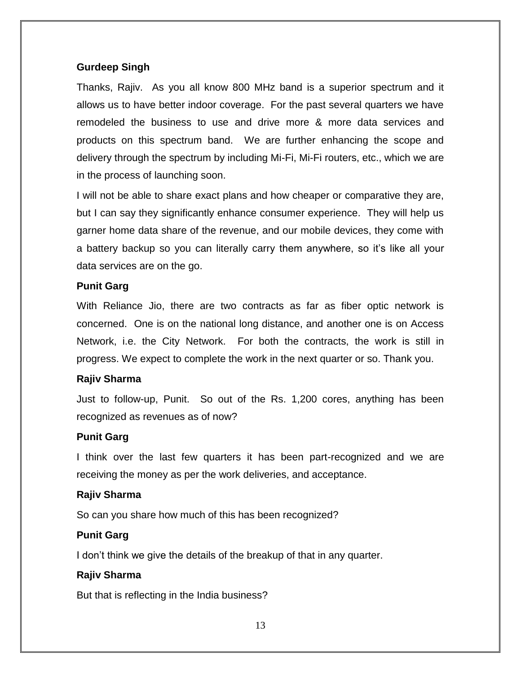### **Gurdeep Singh**

Thanks, Rajiv. As you all know 800 MHz band is a superior spectrum and it allows us to have better indoor coverage. For the past several quarters we have remodeled the business to use and drive more & more data services and products on this spectrum band. We are further enhancing the scope and delivery through the spectrum by including Mi-Fi, Mi-Fi routers, etc., which we are in the process of launching soon.

I will not be able to share exact plans and how cheaper or comparative they are, but I can say they significantly enhance consumer experience. They will help us garner home data share of the revenue, and our mobile devices, they come with a battery backup so you can literally carry them anywhere, so it's like all your data services are on the go.

### **Punit Garg**

With Reliance Jio, there are two contracts as far as fiber optic network is concerned. One is on the national long distance, and another one is on Access Network, i.e. the City Network. For both the contracts, the work is still in progress. We expect to complete the work in the next quarter or so. Thank you.

#### **Rajiv Sharma**

Just to follow-up, Punit. So out of the Rs. 1,200 cores, anything has been recognized as revenues as of now?

### **Punit Garg**

I think over the last few quarters it has been part-recognized and we are receiving the money as per the work deliveries, and acceptance.

#### **Rajiv Sharma**

So can you share how much of this has been recognized?

### **Punit Garg**

I don't think we give the details of the breakup of that in any quarter.

#### **Rajiv Sharma**

But that is reflecting in the India business?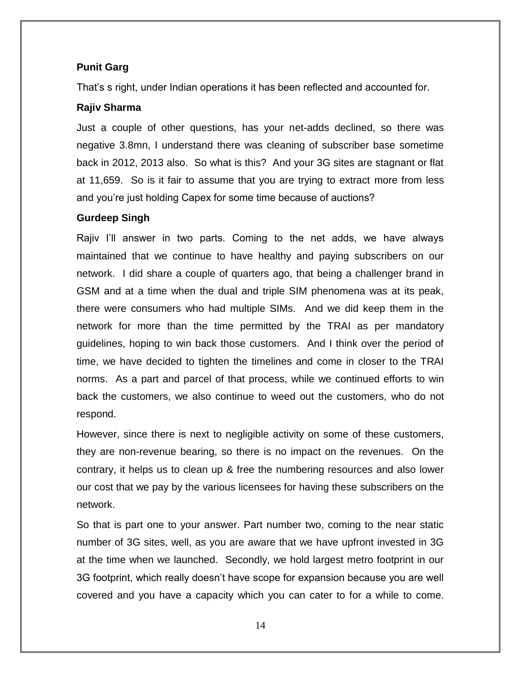### **Punit Garg**

That's s right, under Indian operations it has been reflected and accounted for.

### **Rajiv Sharma**

Just a couple of other questions, has your net-adds declined, so there was negative 3.8mn, I understand there was cleaning of subscriber base sometime back in 2012, 2013 also. So what is this? And your 3G sites are stagnant or flat at 11,659. So is it fair to assume that you are trying to extract more from less and you're just holding Capex for some time because of auctions?

### **Gurdeep Singh**

Rajiv I'll answer in two parts. Coming to the net adds, we have always maintained that we continue to have healthy and paying subscribers on our network. I did share a couple of quarters ago, that being a challenger brand in GSM and at a time when the dual and triple SIM phenomena was at its peak, there were consumers who had multiple SIMs. And we did keep them in the network for more than the time permitted by the TRAI as per mandatory guidelines, hoping to win back those customers. And I think over the period of time, we have decided to tighten the timelines and come in closer to the TRAI norms. As a part and parcel of that process, while we continued efforts to win back the customers, we also continue to weed out the customers, who do not respond.

However, since there is next to negligible activity on some of these customers, they are non-revenue bearing, so there is no impact on the revenues. On the contrary, it helps us to clean up & free the numbering resources and also lower our cost that we pay by the various licensees for having these subscribers on the network.

So that is part one to your answer. Part number two, coming to the near static number of 3G sites, well, as you are aware that we have upfront invested in 3G at the time when we launched. Secondly, we hold largest metro footprint in our 3G footprint, which really doesn't have scope for expansion because you are well covered and you have a capacity which you can cater to for a while to come.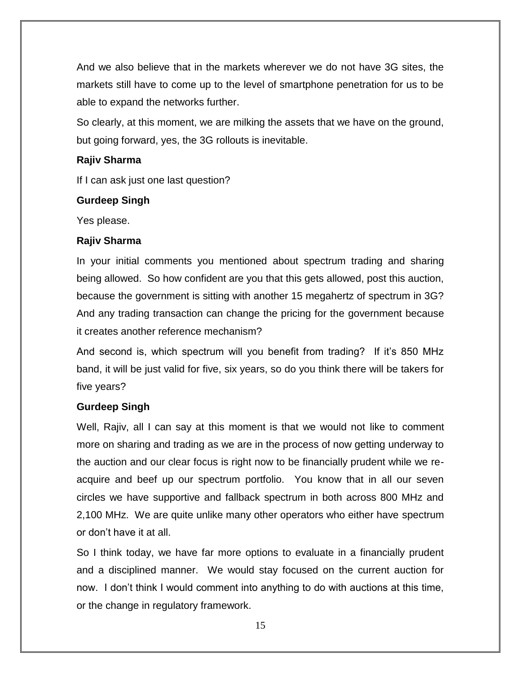And we also believe that in the markets wherever we do not have 3G sites, the markets still have to come up to the level of smartphone penetration for us to be able to expand the networks further.

So clearly, at this moment, we are milking the assets that we have on the ground, but going forward, yes, the 3G rollouts is inevitable.

### **Rajiv Sharma**

If I can ask just one last question?

### **Gurdeep Singh**

Yes please.

### **Rajiv Sharma**

In your initial comments you mentioned about spectrum trading and sharing being allowed. So how confident are you that this gets allowed, post this auction, because the government is sitting with another 15 megahertz of spectrum in 3G? And any trading transaction can change the pricing for the government because it creates another reference mechanism?

And second is, which spectrum will you benefit from trading? If it's 850 MHz band, it will be just valid for five, six years, so do you think there will be takers for five years?

### **Gurdeep Singh**

Well, Rajiv, all I can say at this moment is that we would not like to comment more on sharing and trading as we are in the process of now getting underway to the auction and our clear focus is right now to be financially prudent while we reacquire and beef up our spectrum portfolio. You know that in all our seven circles we have supportive and fallback spectrum in both across 800 MHz and 2,100 MHz. We are quite unlike many other operators who either have spectrum or don't have it at all.

So I think today, we have far more options to evaluate in a financially prudent and a disciplined manner. We would stay focused on the current auction for now. I don't think I would comment into anything to do with auctions at this time, or the change in regulatory framework.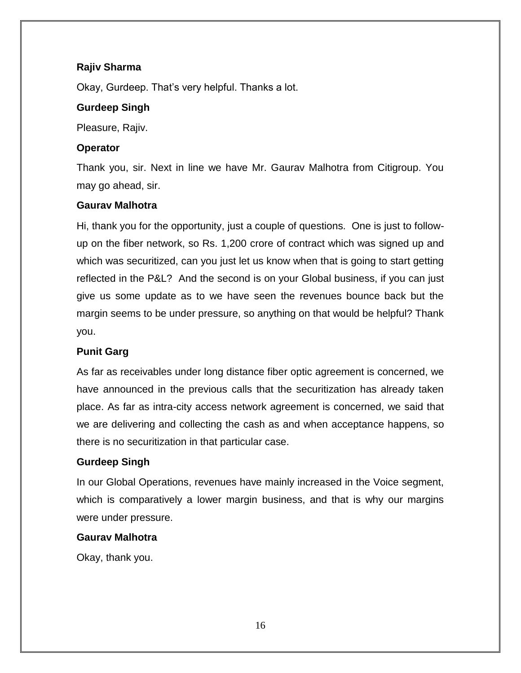### **Rajiv Sharma**

Okay, Gurdeep. That's very helpful. Thanks a lot.

### **Gurdeep Singh**

Pleasure, Rajiv.

### **Operator**

Thank you, sir. Next in line we have Mr. Gaurav Malhotra from Citigroup. You may go ahead, sir.

### **Gaurav Malhotra**

Hi, thank you for the opportunity, just a couple of questions. One is just to followup on the fiber network, so Rs. 1,200 crore of contract which was signed up and which was securitized, can you just let us know when that is going to start getting reflected in the P&L? And the second is on your Global business, if you can just give us some update as to we have seen the revenues bounce back but the margin seems to be under pressure, so anything on that would be helpful? Thank you.

### **Punit Garg**

As far as receivables under long distance fiber optic agreement is concerned, we have announced in the previous calls that the securitization has already taken place. As far as intra-city access network agreement is concerned, we said that we are delivering and collecting the cash as and when acceptance happens, so there is no securitization in that particular case.

### **Gurdeep Singh**

In our Global Operations, revenues have mainly increased in the Voice segment, which is comparatively a lower margin business, and that is why our margins were under pressure.

#### **Gaurav Malhotra**

Okay, thank you.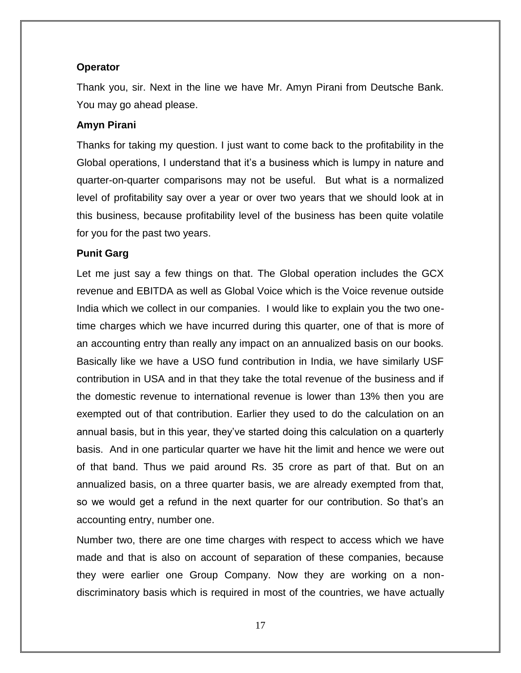### **Operator**

Thank you, sir. Next in the line we have Mr. Amyn Pirani from Deutsche Bank. You may go ahead please.

### **Amyn Pirani**

Thanks for taking my question. I just want to come back to the profitability in the Global operations, I understand that it's a business which is lumpy in nature and quarter-on-quarter comparisons may not be useful. But what is a normalized level of profitability say over a year or over two years that we should look at in this business, because profitability level of the business has been quite volatile for you for the past two years.

### **Punit Garg**

Let me just say a few things on that. The Global operation includes the GCX revenue and EBITDA as well as Global Voice which is the Voice revenue outside India which we collect in our companies. I would like to explain you the two onetime charges which we have incurred during this quarter, one of that is more of an accounting entry than really any impact on an annualized basis on our books. Basically like we have a USO fund contribution in India, we have similarly USF contribution in USA and in that they take the total revenue of the business and if the domestic revenue to international revenue is lower than 13% then you are exempted out of that contribution. Earlier they used to do the calculation on an annual basis, but in this year, they've started doing this calculation on a quarterly basis. And in one particular quarter we have hit the limit and hence we were out of that band. Thus we paid around Rs. 35 crore as part of that. But on an annualized basis, on a three quarter basis, we are already exempted from that, so we would get a refund in the next quarter for our contribution. So that's an accounting entry, number one.

Number two, there are one time charges with respect to access which we have made and that is also on account of separation of these companies, because they were earlier one Group Company. Now they are working on a nondiscriminatory basis which is required in most of the countries, we have actually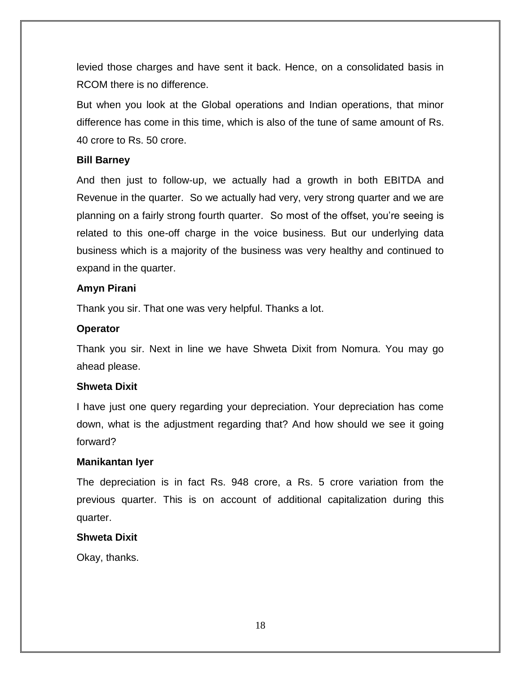levied those charges and have sent it back. Hence, on a consolidated basis in RCOM there is no difference.

But when you look at the Global operations and Indian operations, that minor difference has come in this time, which is also of the tune of same amount of Rs. 40 crore to Rs. 50 crore.

#### **Bill Barney**

And then just to follow-up, we actually had a growth in both EBITDA and Revenue in the quarter. So we actually had very, very strong quarter and we are planning on a fairly strong fourth quarter. So most of the offset, you're seeing is related to this one-off charge in the voice business. But our underlying data business which is a majority of the business was very healthy and continued to expand in the quarter.

#### **Amyn Pirani**

Thank you sir. That one was very helpful. Thanks a lot.

#### **Operator**

Thank you sir. Next in line we have Shweta Dixit from Nomura. You may go ahead please.

#### **Shweta Dixit**

I have just one query regarding your depreciation. Your depreciation has come down, what is the adjustment regarding that? And how should we see it going forward?

#### **Manikantan Iyer**

The depreciation is in fact Rs. 948 crore, a Rs. 5 crore variation from the previous quarter. This is on account of additional capitalization during this quarter.

#### **Shweta Dixit**

Okay, thanks.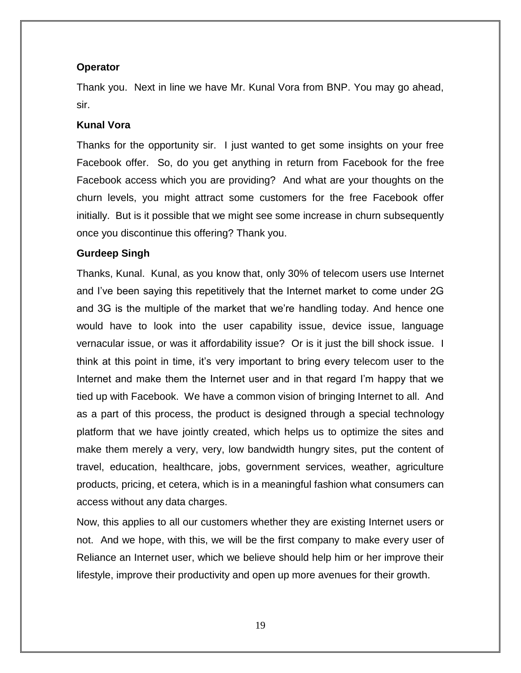### **Operator**

Thank you. Next in line we have Mr. Kunal Vora from BNP. You may go ahead, sir.

### **Kunal Vora**

Thanks for the opportunity sir. I just wanted to get some insights on your free Facebook offer. So, do you get anything in return from Facebook for the free Facebook access which you are providing? And what are your thoughts on the churn levels, you might attract some customers for the free Facebook offer initially. But is it possible that we might see some increase in churn subsequently once you discontinue this offering? Thank you.

### **Gurdeep Singh**

Thanks, Kunal. Kunal, as you know that, only 30% of telecom users use Internet and I've been saying this repetitively that the Internet market to come under 2G and 3G is the multiple of the market that we're handling today. And hence one would have to look into the user capability issue, device issue, language vernacular issue, or was it affordability issue? Or is it just the bill shock issue. I think at this point in time, it's very important to bring every telecom user to the Internet and make them the Internet user and in that regard I'm happy that we tied up with Facebook. We have a common vision of bringing Internet to all. And as a part of this process, the product is designed through a special technology platform that we have jointly created, which helps us to optimize the sites and make them merely a very, very, low bandwidth hungry sites, put the content of travel, education, healthcare, jobs, government services, weather, agriculture products, pricing, et cetera, which is in a meaningful fashion what consumers can access without any data charges.

Now, this applies to all our customers whether they are existing Internet users or not. And we hope, with this, we will be the first company to make every user of Reliance an Internet user, which we believe should help him or her improve their lifestyle, improve their productivity and open up more avenues for their growth.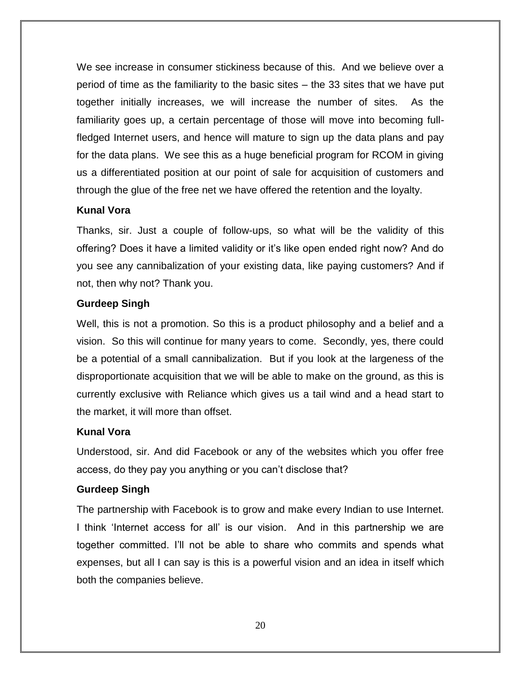We see increase in consumer stickiness because of this. And we believe over a period of time as the familiarity to the basic sites – the 33 sites that we have put together initially increases, we will increase the number of sites. As the familiarity goes up, a certain percentage of those will move into becoming fullfledged Internet users, and hence will mature to sign up the data plans and pay for the data plans. We see this as a huge beneficial program for RCOM in giving us a differentiated position at our point of sale for acquisition of customers and through the glue of the free net we have offered the retention and the loyalty.

#### **Kunal Vora**

Thanks, sir. Just a couple of follow-ups, so what will be the validity of this offering? Does it have a limited validity or it's like open ended right now? And do you see any cannibalization of your existing data, like paying customers? And if not, then why not? Thank you.

### **Gurdeep Singh**

Well, this is not a promotion. So this is a product philosophy and a belief and a vision. So this will continue for many years to come. Secondly, yes, there could be a potential of a small cannibalization. But if you look at the largeness of the disproportionate acquisition that we will be able to make on the ground, as this is currently exclusive with Reliance which gives us a tail wind and a head start to the market, it will more than offset.

### **Kunal Vora**

Understood, sir. And did Facebook or any of the websites which you offer free access, do they pay you anything or you can't disclose that?

### **Gurdeep Singh**

The partnership with Facebook is to grow and make every Indian to use Internet. I think 'Internet access for all' is our vision. And in this partnership we are together committed. I'll not be able to share who commits and spends what expenses, but all I can say is this is a powerful vision and an idea in itself which both the companies believe.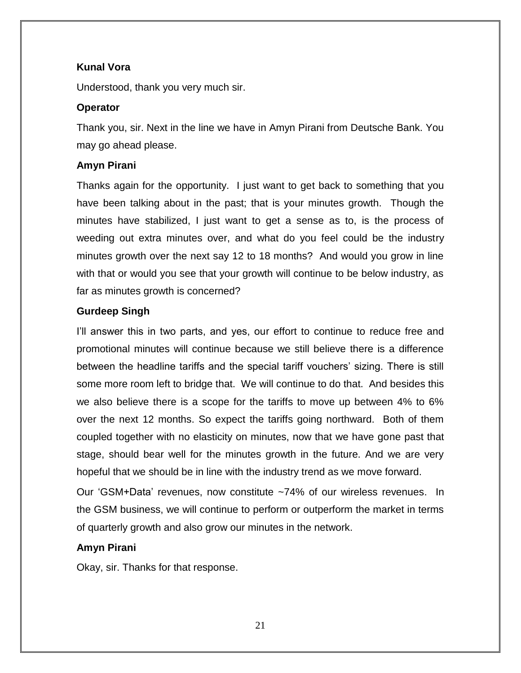### **Kunal Vora**

Understood, thank you very much sir.

### **Operator**

Thank you, sir. Next in the line we have in Amyn Pirani from Deutsche Bank. You may go ahead please.

### **Amyn Pirani**

Thanks again for the opportunity. I just want to get back to something that you have been talking about in the past; that is your minutes growth. Though the minutes have stabilized, I just want to get a sense as to, is the process of weeding out extra minutes over, and what do you feel could be the industry minutes growth over the next say 12 to 18 months? And would you grow in line with that or would you see that your growth will continue to be below industry, as far as minutes growth is concerned?

### **Gurdeep Singh**

I'll answer this in two parts, and yes, our effort to continue to reduce free and promotional minutes will continue because we still believe there is a difference between the headline tariffs and the special tariff vouchers' sizing. There is still some more room left to bridge that. We will continue to do that. And besides this we also believe there is a scope for the tariffs to move up between 4% to 6% over the next 12 months. So expect the tariffs going northward. Both of them coupled together with no elasticity on minutes, now that we have gone past that stage, should bear well for the minutes growth in the future. And we are very hopeful that we should be in line with the industry trend as we move forward.

Our 'GSM+Data' revenues, now constitute ~74% of our wireless revenues. In the GSM business, we will continue to perform or outperform the market in terms of quarterly growth and also grow our minutes in the network.

#### **Amyn Pirani**

Okay, sir. Thanks for that response.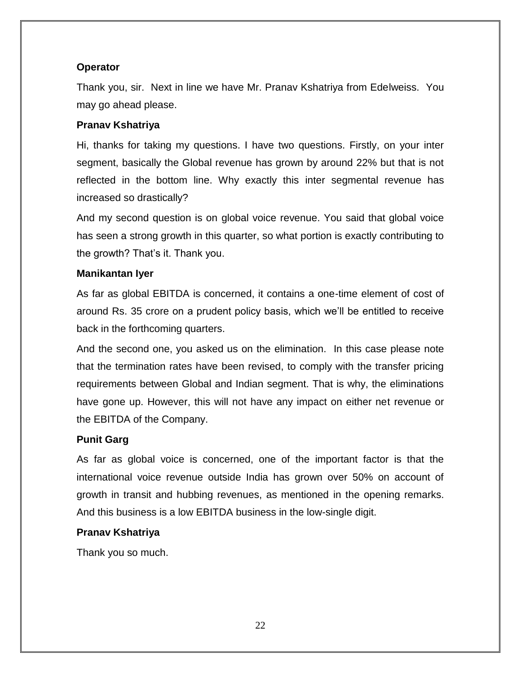### **Operator**

Thank you, sir. Next in line we have Mr. Pranav Kshatriya from Edelweiss. You may go ahead please.

### **Pranav Kshatriya**

Hi, thanks for taking my questions. I have two questions. Firstly, on your inter segment, basically the Global revenue has grown by around 22% but that is not reflected in the bottom line. Why exactly this inter segmental revenue has increased so drastically?

And my second question is on global voice revenue. You said that global voice has seen a strong growth in this quarter, so what portion is exactly contributing to the growth? That's it. Thank you.

#### **Manikantan Iyer**

As far as global EBITDA is concerned, it contains a one-time element of cost of around Rs. 35 crore on a prudent policy basis, which we'll be entitled to receive back in the forthcoming quarters.

And the second one, you asked us on the elimination. In this case please note that the termination rates have been revised, to comply with the transfer pricing requirements between Global and Indian segment. That is why, the eliminations have gone up. However, this will not have any impact on either net revenue or the EBITDA of the Company.

#### **Punit Garg**

As far as global voice is concerned, one of the important factor is that the international voice revenue outside India has grown over 50% on account of growth in transit and hubbing revenues, as mentioned in the opening remarks. And this business is a low EBITDA business in the low-single digit.

#### **Pranav Kshatriya**

Thank you so much.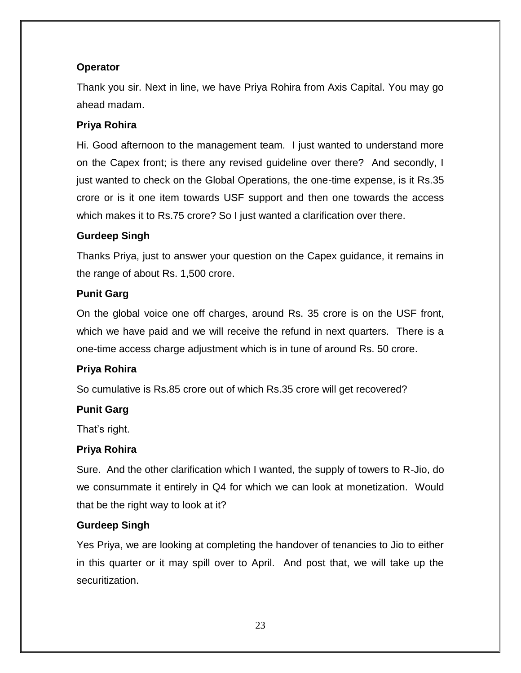### **Operator**

Thank you sir. Next in line, we have Priya Rohira from Axis Capital. You may go ahead madam.

### **Priya Rohira**

Hi. Good afternoon to the management team. I just wanted to understand more on the Capex front; is there any revised guideline over there? And secondly, I just wanted to check on the Global Operations, the one-time expense, is it Rs.35 crore or is it one item towards USF support and then one towards the access which makes it to Rs.75 crore? So I just wanted a clarification over there.

### **Gurdeep Singh**

Thanks Priya, just to answer your question on the Capex guidance, it remains in the range of about Rs. 1,500 crore.

### **Punit Garg**

On the global voice one off charges, around Rs. 35 crore is on the USF front, which we have paid and we will receive the refund in next quarters. There is a one-time access charge adjustment which is in tune of around Rs. 50 crore.

### **Priya Rohira**

So cumulative is Rs.85 crore out of which Rs.35 crore will get recovered?

### **Punit Garg**

That's right.

### **Priya Rohira**

Sure. And the other clarification which I wanted, the supply of towers to R-Jio, do we consummate it entirely in Q4 for which we can look at monetization. Would that be the right way to look at it?

### **Gurdeep Singh**

Yes Priya, we are looking at completing the handover of tenancies to Jio to either in this quarter or it may spill over to April. And post that, we will take up the securitization.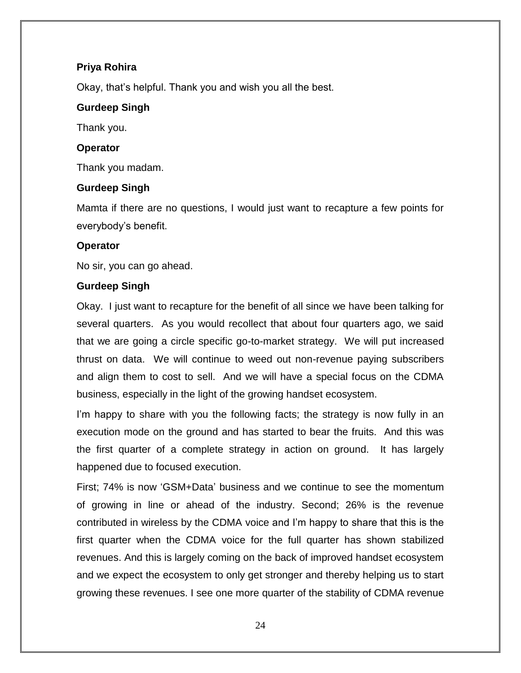### **Priya Rohira**

Okay, that's helpful. Thank you and wish you all the best.

### **Gurdeep Singh**

Thank you.

### **Operator**

Thank you madam.

### **Gurdeep Singh**

Mamta if there are no questions, I would just want to recapture a few points for everybody's benefit.

### **Operator**

No sir, you can go ahead.

### **Gurdeep Singh**

Okay. I just want to recapture for the benefit of all since we have been talking for several quarters. As you would recollect that about four quarters ago, we said that we are going a circle specific go-to-market strategy. We will put increased thrust on data. We will continue to weed out non-revenue paying subscribers and align them to cost to sell. And we will have a special focus on the CDMA business, especially in the light of the growing handset ecosystem.

I'm happy to share with you the following facts; the strategy is now fully in an execution mode on the ground and has started to bear the fruits. And this was the first quarter of a complete strategy in action on ground. It has largely happened due to focused execution.

First; 74% is now ‗GSM+Data' business and we continue to see the momentum of growing in line or ahead of the industry. Second; 26% is the revenue contributed in wireless by the CDMA voice and I'm happy to share that this is the first quarter when the CDMA voice for the full quarter has shown stabilized revenues. And this is largely coming on the back of improved handset ecosystem and we expect the ecosystem to only get stronger and thereby helping us to start growing these revenues. I see one more quarter of the stability of CDMA revenue